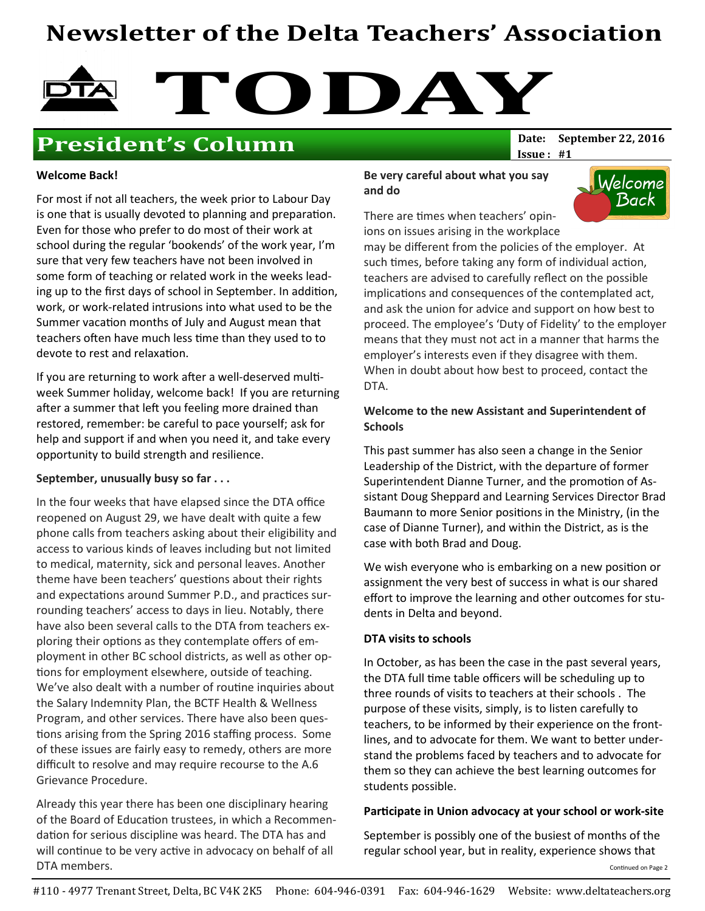# Newsletter of the Delta Teachers' Association



## **President's Column** Date: September 22, 2016

 $Issue: #1$ 

#### Welcome Back!

For most if not all teachers, the week prior to Labour Day is one that is usually devoted to planning and preparation. Even for those who prefer to do most of their work at school during the regular 'bookends' of the work year, I'm sure that very few teachers have not been involved in some form of teaching or related work in the weeks leading up to the first days of school in September. In addition, work, or work-related intrusions into what used to be the Summer vacation months of July and August mean that teachers often have much less time than they used to to devote to rest and relaxation.

If you are returning to work after a well-deserved multiweek Summer holiday, welcome back! If you are returning after a summer that left you feeling more drained than restored, remember: be careful to pace yourself; ask for help and support if and when you need it, and take every opportunity to build strength and resilience.

#### September, unusually busy so far . . .

In the four weeks that have elapsed since the DTA office reopened on August 29, we have dealt with quite a few phone calls from teachers asking about their eligibility and access to various kinds of leaves including but not limited to medical, maternity, sick and personal leaves. Another theme have been teachers' questions about their rights and expectations around Summer P.D., and practices surrounding teachers' access to days in lieu. Notably, there have also been several calls to the DTA from teachers exploring their options as they contemplate offers of employment in other BC school districts, as well as other op tions for employment elsewhere, outside of teaching. We've also dealt with a number of routine inquiries about the Salary Indemnity Plan, the BCTF Health & Wellness Program, and other services. There have also been ques tions arising from the Spring 2016 staffing process. Some of these issues are fairly easy to remedy, others are more difficult to resolve and may require recourse to the A.6 Grievance Procedure.

Already this year there has been one disciplinary hearing of the Board of Education trustees, in which a Recommendation for serious discipline was heard. The DTA has and will continue to be very active in advocacy on behalf of all DTA members.

#### Be very careful about what you say and do

Welcome Back

There are times when teachers' opinions on issues arising in the workplace

may be different from the policies of the employer. At such times, before taking any form of individual action, teachers are advised to carefully reflect on the possible implications and consequences of the contemplated act, and ask the union for advice and support on how best to proceed. The employee's 'Duty of Fidelity' to the employer means that they must not act in a manner that harms the employer's interests even if they disagree with them. When in doubt about how best to proceed, contact the DTA.

### Welcome to the new Assistant and Superintendent of **Schools**

This past summer has also seen a change in the Senior Leadership of the District, with the departure of former Superintendent Dianne Turner, and the promotion of Assistant Doug Sheppard and Learning Services Director Brad Baumann to more Senior positions in the Ministry, (in the case of Dianne Turner), and within the District, as is the case with both Brad and Doug.

We wish everyone who is embarking on a new position or assignment the very best of success in what is our shared effort to improve the learning and other outcomes for students in Delta and beyond.

### DTA visits to schools

In October, as has been the case in the past several years, the DTA full time table officers will be scheduling up to three rounds of visits to teachers at their schools . The purpose of these visits, simply, is to listen carefully to teachers, to be informed by their experience on the frontlines, and to advocate for them. We want to better understand the problems faced by teachers and to advocate for them so they can achieve the best learning outcomes for students possible.

### Participate in Union advocacy at your school or work-site

September is possibly one of the busiest of months of the regular school year, but in reality, experience shows that